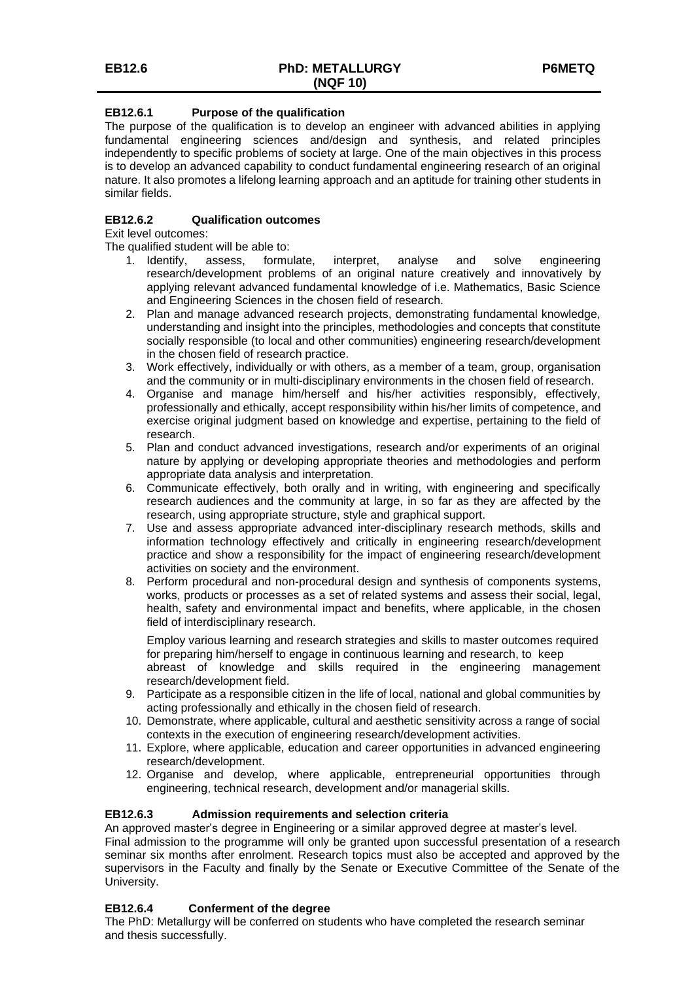## **EB12.6.1 Purpose of the qualification**

The purpose of the qualification is to develop an engineer with advanced abilities in applying fundamental engineering sciences and/design and synthesis, and related principles independently to specific problems of society at large. One of the main objectives in this process is to develop an advanced capability to conduct fundamental engineering research of an original nature. It also promotes a lifelong learning approach and an aptitude for training other students in similar fields.

## **EB12.6.2 Qualification outcomes**

Exit level outcomes:

The qualified student will be able to:

- 1. Identify, assess, formulate, interpret, analyse and solve engineering research/development problems of an original nature creatively and innovatively by applying relevant advanced fundamental knowledge of i.e. Mathematics, Basic Science and Engineering Sciences in the chosen field of research.
- 2. Plan and manage advanced research projects, demonstrating fundamental knowledge, understanding and insight into the principles, methodologies and concepts that constitute socially responsible (to local and other communities) engineering research/development in the chosen field of research practice.
- 3. Work effectively, individually or with others, as a member of a team, group, organisation and the community or in multi-disciplinary environments in the chosen field of research.
- 4. Organise and manage him/herself and his/her activities responsibly, effectively, professionally and ethically, accept responsibility within his/her limits of competence, and exercise original judgment based on knowledge and expertise, pertaining to the field of research.
- 5. Plan and conduct advanced investigations, research and/or experiments of an original nature by applying or developing appropriate theories and methodologies and perform appropriate data analysis and interpretation.
- 6. Communicate effectively, both orally and in writing, with engineering and specifically research audiences and the community at large, in so far as they are affected by the research, using appropriate structure, style and graphical support.
- 7. Use and assess appropriate advanced inter-disciplinary research methods, skills and information technology effectively and critically in engineering research/development practice and show a responsibility for the impact of engineering research/development activities on society and the environment.
- 8. Perform procedural and non-procedural design and synthesis of components systems, works, products or processes as a set of related systems and assess their social, legal, health, safety and environmental impact and benefits, where applicable, in the chosen field of interdisciplinary research.

Employ various learning and research strategies and skills to master outcomes required for preparing him/herself to engage in continuous learning and research, to keep

abreast of knowledge and skills required in the engineering management research/development field.

- 9. Participate as a responsible citizen in the life of local, national and global communities by acting professionally and ethically in the chosen field of research.
- 10. Demonstrate, where applicable, cultural and aesthetic sensitivity across a range of social contexts in the execution of engineering research/development activities.
- 11. Explore, where applicable, education and career opportunities in advanced engineering research/development.
- 12. Organise and develop, where applicable, entrepreneurial opportunities through engineering, technical research, development and/or managerial skills.

## **EB12.6.3 Admission requirements and selection criteria**

An approved master's degree in Engineering or a similar approved degree at master's level.

Final admission to the programme will only be granted upon successful presentation of a research seminar six months after enrolment. Research topics must also be accepted and approved by the supervisors in the Faculty and finally by the Senate or Executive Committee of the Senate of the University.

## **EB12.6.4 Conferment of the degree**

The PhD: Metallurgy will be conferred on students who have completed the research seminar and thesis successfully.